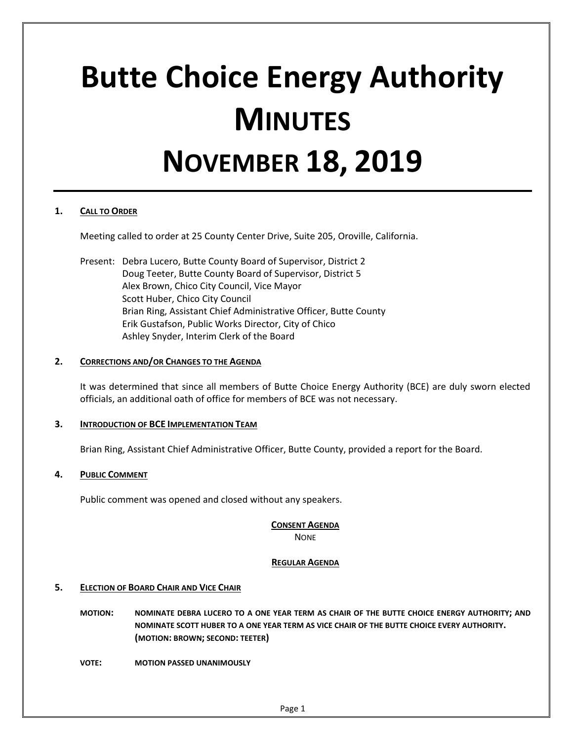# **Butte Choice Energy Authority MINUTES NOVEMBER 18, 2019**

# **1. CALL TO ORDER**

Meeting called to order at 25 County Center Drive, Suite 205, Oroville, California.

Present: Debra Lucero, Butte County Board of Supervisor, District 2 Doug Teeter, Butte County Board of Supervisor, District 5 Alex Brown, Chico City Council, Vice Mayor Scott Huber, Chico City Council Brian Ring, Assistant Chief Administrative Officer, Butte County Erik Gustafson, Public Works Director, City of Chico Ashley Snyder, Interim Clerk of the Board

## **2. CORRECTIONS AND/OR CHANGES TO THE AGENDA**

It was determined that since all members of Butte Choice Energy Authority (BCE) are duly sworn elected officials, an additional oath of office for members of BCE was not necessary.

# **3. INTRODUCTION OF BCE IMPLEMENTATION TEAM**

Brian Ring, Assistant Chief Administrative Officer, Butte County, provided a report for the Board.

#### **4. PUBLIC COMMENT**

Public comment was opened and closed without any speakers.

# **CONSENT AGENDA**

**NONE** 

# **REGULAR AGENDA**

#### **5. ELECTION OF BOARD CHAIR AND VICE CHAIR**

- **MOTION: NOMINATE DEBRA LUCERO TO A ONE YEAR TERM AS CHAIR OF THE BUTTE CHOICE ENERGY AUTHORITY; AND NOMINATE SCOTT HUBER TO A ONE YEAR TERM AS VICE CHAIR OF THE BUTTE CHOICE EVERY AUTHORITY. (MOTION: BROWN; SECOND: TEETER)**
- **VOTE: MOTION PASSED UNANIMOUSLY**